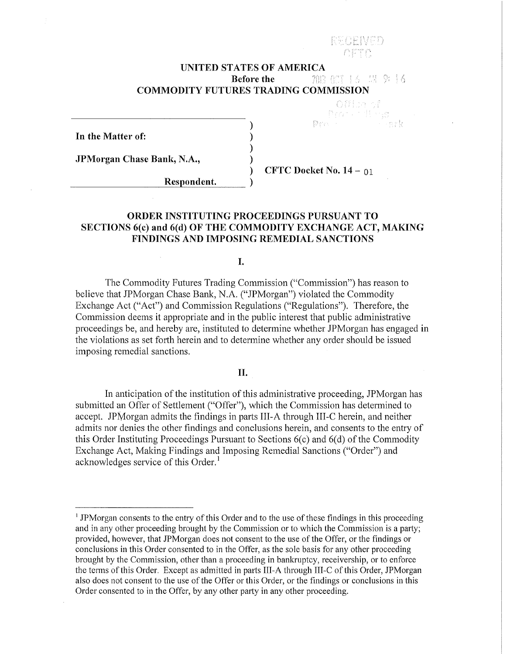#### **UNITED STATES OF AMERICA Before the**  7013 OCT 1.6 IN 9:16 **COMMODITY FUTURES TRADING COMMISSION**

**In the Matter of:** 

JPMorgan Chase Bank, N.A.,

 $Respondent.$ 

) **CFTC Docket** No. **14-** 01

Pro -

Office of Protections

# **ORDER INSTITUTING PROCEEDINGS PURSUANT TO SECTIONS 6(c) and 6(d) OF THE COMMODITY EXCHANGE ACT, MAKING FINDINGS AND IMPOSING REMEDIAL SANCTIONS**

) ) ) )

I.

The Commodity Futures Trading Commission ("Commission") has reason to believe that JPMorgan Chase Bank, N.A. ("JPMorgan") violated the Commodity Exchange Act ("Act") and Commission Regulations ("Regulations"). Therefore, the Commission deems it appropriate and in the public interest that public administrative proceedings be, and hereby are, instituted to determine whether JPMorgan has engaged **in**  the violations as set forth herein and to determine whether any order should be issued imposing remedial sanctions.

#### **II.**

In anticipation of the institution of this administrative proceeding, JPMorgan has submitted an Offer of Settlement ("Offer"), which the Commission has determined to accept. JPM organ admits the findings in parts III-A through III-C herein, and neither admits nor denies the other findings and conclusions herein, and consents to the entry of this Order Instituting Proceedings Pursuant to Sections 6(c) and 6(d) of the Commodity Exchange Act, Making Findings and Imposing Remedial Sanctions ("Order") and acknowledges service of this Order.<sup>1</sup>

<sup>&</sup>lt;sup>1</sup> JPMorgan consents to the entry of this Order and to the use of these findings in this proceeding and in any other proceeding brought by the Commission or to which the Commission is a patiy; provided, however, that JPMorgan does not consent to the use of the Offer, or the findings or conclusions in this Order consented to in the Offer, as the sole basis for any other proceeding brought by the Commission, other than a proceeding in bankruptcy, receivership, or to enforce the terms of this Order. Except as admitted in patis III-A through III-C of this Order, JPMorgan also does not consent to the use of the Offer or this Order, or the findings or conclusions in this Order consented to in the Offer, by any other party in any other proceeding.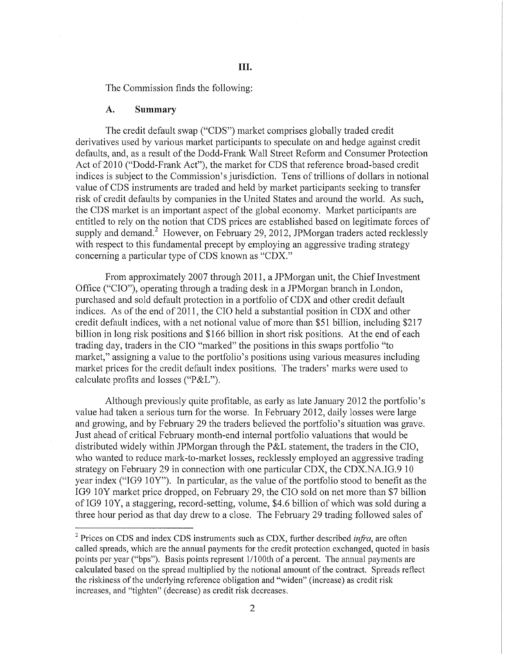The Commission finds the following:

#### A. **Summary**

The credit default swap ("CDS") market comprises globally traded credit derivatives used by various market participants to speculate on and hedge against credit defaults, and, as a result of the Dodd-Frank Wall Street Reform and Consumer Protection Act of 2010 ("Dodd-Frank Act"), the market for CDS that reference broad-based credit indices is subject to the Commission's jurisdiction. Tens of trillions of dollars in notional value of CDS instruments are traded and held by market participants seeking to transfer risk of credit defaults by companies in the United States and around the world. As such, the CDS market is an important aspect of the global economy. Market participants are entitled to rely on the notion that CDS prices are established based on legitimate forces of supply and demand.<sup>2</sup> However, on February 29, 2012, JPMorgan traders acted recklessly with respect to this fundamental precept by employing an aggressive trading strategy concerning a particular type of CDS known as "CDX."

From approximately 2007 through 2011, a JPMorgan unit, the Chief Investment Office ("CIO"), operating through a trading desk in a JPMorgan branch in London, purchased and sold default protection in a portfolio of CDX and other credit default indices. As of the end of 2011, the CIO held a substantial position in CDX and other credit default indices, with a net notional value of more than \$51 billion, including \$217 billion in long risk positions and \$166 billion in short risk positions. At the end of each trading day, traders in the CIO "marked" the positions in this swaps portfolio "to market," assigning a value to the portfolio's positions using various measures including market prices for the credit default index positions. The traders' marks were used to calculate profits and losses ("P&L").

Although previously quite profitable, as early as late January 2012 the portfolio's value had taken a serious turn for the worse. In February 2012, daily losses were large and growing, and by February 29 the traders believed the portfolio's situation was grave. Just ahead of critical February month-end internal pmifolio valuations that would be distributed widely within JPMorgan through the P&L statement, the traders in the CIO, who wanted to reduce mark-to-market losses, recklessly employed an aggressive trading strategy on February 29 in connection with one particular CDX, the CDX.NA.IG.9 10 year index ("IG9  $10Y$ "). In particular, as the value of the portfolio stood to benefit as the IG9 lOY market price dropped, on February 29, the CIO sold on net more than \$7 billion ofiG9 lOY, a staggering, record-setting, volume, \$4.6 billion of which was sold during a three hour period as that day drew to a close. The February 29 trading followed sales of

<sup>2</sup> Prices on CDS and index CDS instruments such as CDX, further described *infra,* are often called spreads, which are the annual payments for the credit protection exchanged, quoted in basis points per year ("bps"). Basis points represent 1/1 OOth of a percent. The annual payments are calculated based on the spread multiplied by the notional amount of the contract. Spreads reflect the riskiness of the underlying reference obligation and "widen" (increase) as credit risk increases, and "tighten" (decrease) as credit risk decreases.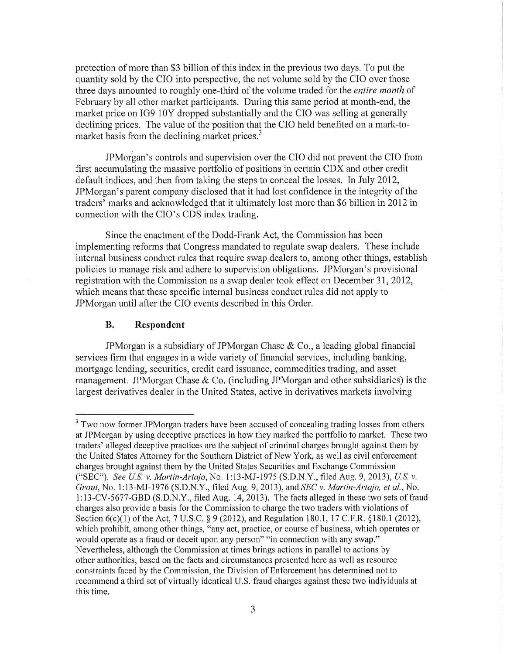protection of more than \$3 billion of this index in the previous two days. To put the quantity sold by the CIO into perspective, the net volume sold by the CIO over those three days amounted to roughly one-third of the volume traded for the *entire month* of February by all other market participants. During this same period at month-end, the market price on IG9 10Y dropped substantially and the CIO was selling at generally declining prices. The value of the position that the CIO held benefited on a mark-tomarket basis from the declining market prices.<sup>3</sup>

JPMorgan's controls and supervision over the CIO did not prevent the CIO from first accumulating the massive portfolio of positions in certain CDX and other credit default indices, and then from taking the steps to conceal the losses. In July 2012, JPMorgan's parent company disclosed that it had lost confidence in the integrity of the traders' marks and acknowledged that it ultimately lost more than \$6 billion in 2012 in connection with the CIO's CDS index trading.

Since the enactment of the Dodd-Frank Act, the Commission has been implementing reforms that Congress mandated to regulate swap dealers. These include internal business conduct rules that require swap dealers to, among other things, establish policies to manage risk and adhere to supervision obligations. JPMorgan's provisional registration with the Commission as a swap dealer took effect on December 31, 2012, which means that these specific internal business conduct rules did not apply to JPMorgan until after the CIO events described in this Order.

#### **B. Respondent**

JPMorgan is a subsidiary of JPMorgan Chase & Co., a leading global financial services firm that engages in a wide variety of financial services, including banking, mortgage lending, securities, credit card issuance, commodities trading, and asset management. JPMorgan Chase & Co. (including JPMorgan and other subsidiaries) is the largest derivatives dealer in the United States, active in derivatives markets involving

<sup>&</sup>lt;sup>3</sup> Two now former JPMorgan traders have been accused of concealing trading losses from others at JPMorgan by using deceptive practices in how they marked the portfolio to market. These two traders' alleged deceptive practices are the subject of criminal charges brought against them by the United States Attorney for the Southern District of New York, as well as civil enforcement charges brought against them by the United States Securities and Exchange Commission ("SEC"). *See* U.S. *v. Martin-Artajo,* No. 1: 13-MJ-1975 (S.D.N.Y., filed Aug. 9, 20 13), U.S. *v. Grout,* No. 1:13-MJ-1976 (S.D.N.Y., filed Aug. 9, 2013), and *SEC v. Martin-Artqjo, eta!.,* No. 1: 13-CV-5677-GBD (S.D.N.Y., filed Aug. 14, 2013). The facts alleged in these two sets of fraud charges also provide a basis for the Commission to charge the two traders with violations of Section 6(c)(1) of the Act, 7 U.S.C. § 9 (2012), and Regulation 180.1, 17 C.F.R. §180.1 (2012), which prohibit, among other things, "any act, practice, or course of business, which operates or would operate as a fraud or deceit upon any person" "in connection with any swap." Nevetiheless, although the Commission at times brings actions in parallel to actions by other authorities, based on the facts and circumstances presented here as well as resource constraints faced by the Commission, the Division of Enforcement has determined not to recommend a third set of virtually identical U.S. fraud charges against these two individuals at this time.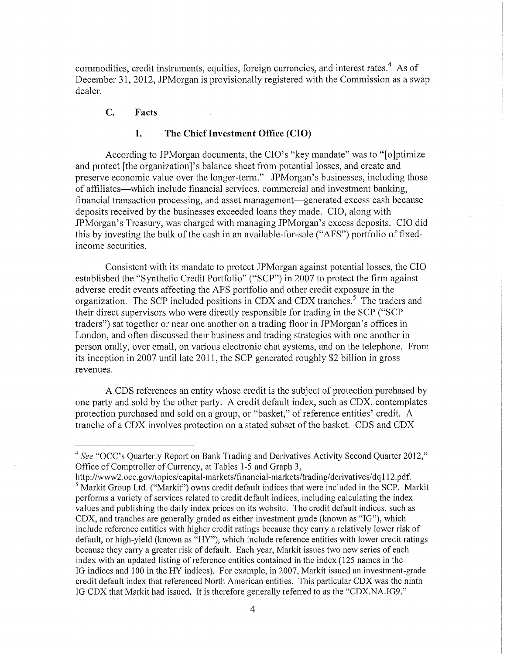commodities, credit instruments, equities, foreign currencies, and interest rates.<sup>4</sup> As of December 31, 2012, JPMorgan is provisionally registered with the Commission as a swap dealer.

## C. **Facts**

#### **1. The Chief Investment Office (CIO)**

According to JPMorgan documents, the CIO's "key mandate" was to "[o]ptimize and protect [the organization]'s balance sheet from potential losses, and create and preserve economic value over the longer-term." JPMorgan's businesses, including those of affiliates-which include financial services, commercial and investment banking, financial transaction processing, and asset management-generated excess cash because deposits received by the businesses exceeded loans they made. CIO, along with JPMorgan's Treasury, was charged with managing JPMorgan's excess deposits. CIO did this by investing the bulk of the cash in an available-for-sale ("AFS") portfolio of fixedincome securities.

Consistent with its mandate to protect JPMorgan against potential losses, the CIO established the "Synthetic Credit Portfolio" ("SCP") in 2007 to protect the firm against adverse credit events affecting the AFS portfolio and other credit exposure in the organization. The SCP included positions in CDX and CDX tranches.<sup>5</sup> The traders and their direct supervisors who were directly responsible for trading in the SCP ("SCP traders") sat together or near one another on a trading floor in JPMorgan's offices in London, and often discussed their business and trading strategies with one another in person orally, over email, on various electronic chat systems, and on the telephone. From its inception in 2007 until late 2011, the SCP generated roughly \$2 billion in gross revenues.

A CDS references an entity whose credit is the subject of protection purchased by one party and sold by the other party. A credit default index, such as CDX, contemplates protection purchased and sold on a group, or "basket," of reference entities' credit. A tranche of a CDX involves protection on a stated subset of the basket. CDS and CDX

http://www2.occ.gov/topics/capital-markets/financial-markets/trading/derivatives/dq112.pdf. <sup>5</sup> Markit Group Ltd. ("Markit") owns credit default indices that were included in the SCP. Markit performs a variety of services related to credit default indices, including calculating the index values and publishing the daily index prices on its website. The credit default indices, such as CDX, and tranches are generally graded as either investment grade (known as "IG"), which include reference entities with higher credit ratings because they carry a relatively lower risk of default, or high-yield (known as "HY"), which include reference entities with lower credit ratings because they carry a greater risk of default. Each year, Markit issues two new series of each index with an updated listing of reference entities contained in the index (125 names in the IG indices and 100 in the HY indices). For example, in 2007, Markit issued an investment-grade credit default index that referenced North American entities. This particular CDX was the ninth IG CDX that Markit had issued. It is therefore generally referred to as the "CDX.NA.IG9."

<sup>&</sup>lt;sup>4</sup> See "OCC's Quarterly Report on Bank Trading and Derivatives Activity Second Quarter 2012," Office of Comptroller of Currency, at Tables 1-5 and Graph 3,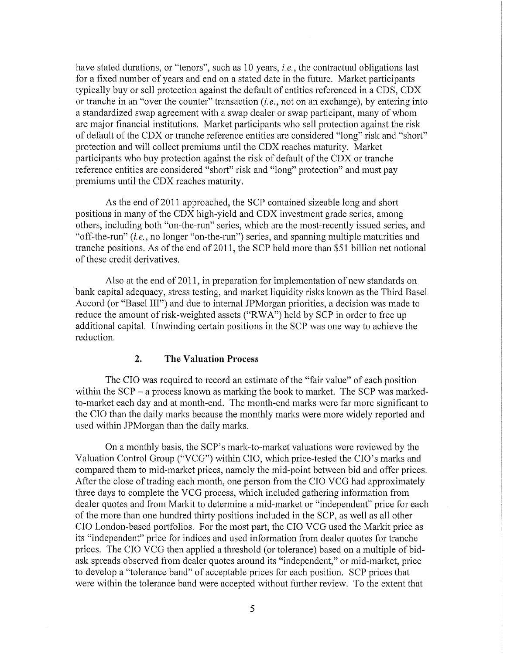have stated durations, or "tenors", such as 10 years, *i.e.,* the contractual obligations last for a fixed number of years and end on a stated date in the future. Market participants typically buy or sell protection against the default of entities referenced in a CDS, CDX or tranche in an "over the counter" transaction *(i.e.,* not on an exchange), by entering into a standardized swap agreement with a swap dealer or swap participant, many of whom are major financial institutions. Market participants who sell protection against the risk of default of the CDX or tranche reference entities are considered "long" risk and "short" protection and will collect premiums until the CDX reaches maturity. Market participants who buy protection against the risk of default of the CDX or tranche reference entities are considered "short" risk and "long" protection" and must pay premiums until the CDX reaches maturity.

As the end of 2011 approached, the SCP contained sizeable long and short positions in many of the CDX high-yield and CDX investment grade series, among others, including both "on-the-run" series, which are the most-recently issued series, and "off-the-run" *(i.e.,* no longer "on-the-run") series, and spanning multiple maturities and tranche positions. As of the end of 2011, the SCP held more than \$51 billion net notional of these credit derivatives.

Also at the end of 2011, in preparation for implementation of new standards on bank capital adequacy, stress testing, and market liquidity risks known as the Third Basel Accord (or "Basel III") and due to internal JPMorgan priorities, a decision was made to reduce the amount of risk-weighted assets ("RWA") held by SCP in order to free up additional capital. Unwinding certain positions in the SCP was one way to achieve the reduction.

#### 2. **The Valuation Process**

The CIO was required to record an estimate of the "fair value" of each position within the  $SCP - a$  process known as marking the book to market. The  $SCP$  was markedto-market each day and at month-end. The month-end marks were far more significant to the CIO than the daily marks because the monthly marks were more widely reported and used within JPMorgan than the daily marks.

On a monthly basis, the SCP's mark-to-market valuations were reviewed by the Valuation Control Group ("VCG") within CIO, which price-tested the CIO's marks and compared them to mid-market prices, namely the mid-point between bid and offer prices. After the close of trading each month, one person from the CIO VCG had approximately three days to complete the VCG process, which included gathering information from dealer quotes and from Markit to determine a mid-market or "independent" price for each of the more than one hundred thirty positions included in the SCP, as well as all other CIO London-based portfolios. For the most part, the CIO VCG used the Markit price as its "independent" price for indices and used information from dealer quotes for tranche prices. The CIO VCG then applied a threshold (or tolerance) based on a multiple of bidask spreads observed from dealer quotes around its "independent," or mid-market, price to develop a "tolerance band" of acceptable prices for each position. SCP prices that were within the tolerance band were accepted without further review. To the extent that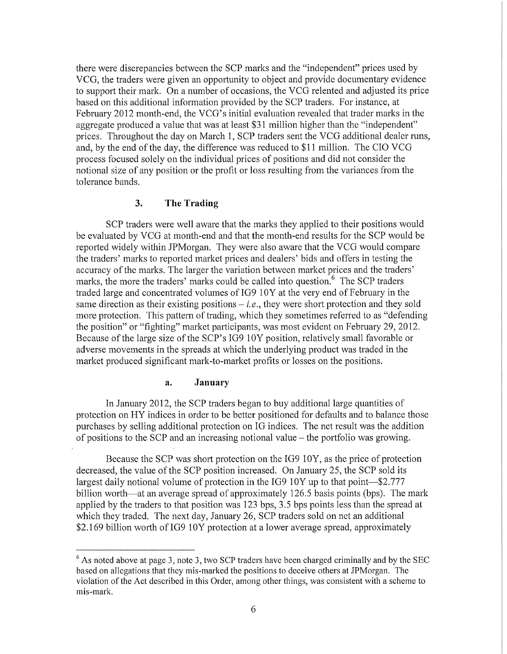there were discrepancies between the SCP marks and the "independent" prices used by VCG, the traders were given an opportunity to object and provide documentary evidence to support their mark. On a number of occasions, the VCG relented and adjusted its price based on this additional information provided by the SCP traders. For instance, at February 2012 month-end, the VCG's initial evaluation revealed that trader marks in the aggregate produced a value that was at least \$31 million higher than the "independent" prices. Throughout the day on March 1, SCP traders sent the VCG additional dealer runs, and, by the end of the day, the difference was reduced to \$11 million. The CIO VCG process focused solely on the individual prices of positions and did not consider the notional size of any position or the profit or loss resulting from the variances from the tolerance bands.

#### 3. **The Trading**

SCP traders were well aware that the marks they applied to their positions would be evaluated by VCG at month-end and that the month-end results for the SCP would be reported widely within JPMorgan. They were also aware that the VCG would compare the traders' marks to reported market prices and dealers' bids and offers in testing the accuracy of the marks. The larger the variation between market prices and the traders' marks, the more the traders' marks could be called into question.<sup>6</sup> The SCP traders traded large and concentrated volumes of IG9 10Y at the very end of February in the same direction as their existing positions- *i.e.,* they were short protection and they sold more protection. This pattern of trading, which they sometimes referred to as "defending the position" or "fighting" market participants, was most evident on February 29, 2012. Because of the large size of the SCP's IG9 10Y position, relatively small favorable or adverse movements in the spreads at which the underlying product was traded in the market produced significant mark-to-market profits or losses on the positions.

#### **a. January**

In January 2012, the SCP traders began to buy additional large quantities of protection on HY indices in order to be better positioned for defaults and to balance those purchases by selling additional protection on IG indices. The net result was the addition of positions to the SCP and an increasing notional value  $-$  the portfolio was growing.

Because the SCP was short protection on the IG9 10Y, as the price of protection decreased, the value of the SCP position increased. On January 25, the SCP sold its largest daily notional volume of protection in the IG9 10Y up to that point-\$2.777 billion worth—at an average spread of approximately 126.5 basis points (bps). The mark applied by the traders to that position was 123 bps, 3.5 bps points less than the spread at which they traded. The next day, January 26, SCP traders sold on net an additional \$2.169 billion worth of IG9 10Y protection at a lower average spread, approximately

 $6$  As noted above at page 3, note 3, two SCP traders have been charged criminally and by the SEC based on allegations that they mis-marked the positions to deceive others at JPMorgan. The violation of the Act described in this Order, among other things, was consistent with a scheme to mis-mark.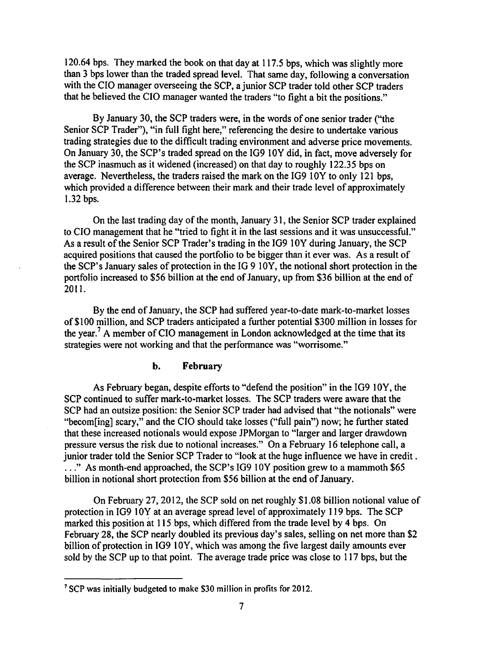120.64 bps. They marked the book on that day at 117.5 bps, which was slightly more than 3 bps lower than the traded spread level. That same day, following a conversation with the CIO manager overseeing the SCP, a junior SCP trader told other SCP traders that he believed the CIO manager wanted the traders "to fight a bit the positions."

By January 30, the SCP traders were, in the words of one senior trader ("the Senior SCP Trader"), "in full fight here," referencing the desire to undertake various trading strategies due to the difficult trading environment and adverse price movements. On January 30, the SCP's traded spread on the IG9 lOY did, in fact, move adversely for the SCP inasmuch as it widened (increased) on that day to roughly 122.35 bps on average. Nevertheless, the traders raised the mark on the IG9 lOY to only 121 bps, which provided a difference between their mark and their trade level of approximately 1.32 bps.

On the last trading day of the month, January 31, the Senior SCP trader explained to CIO management that he "tried to fight it in the last sessions and it was unsuccessful." As a result of the Senior SCP Trader's trading in the IG9 10Y during January, the SCP acquired positions that caused the portfolio to be bigger than it ever was. As a result of the SCP's January sales of protection in the IG 9 lOY, the notional short protection in the portfolio increased to \$56 billion at the end of January, up from \$36 billion at the end of 2011.

By the end of January, the SCP had suffered year-to-date mark-to-market losses of \$100 million, and SCP traders anticipated a further potential \$300 million in losses for the year.<sup>7</sup> A member of CIO management in London acknowledged at the time that its strategies were not working and that the performance was "worrisome."

### b. February

As February began, despite efforts to "defend the position" in the IG9 lOY, the SCP continued to suffer mark-to-market losses. The SCP traders were aware that the SCP had an outsize position: the Senior SCP trader had advised that "the notionals" were "becom[ing] scary," and the CIO should take losses ("full pain") now; he further stated that these increased notionals would expose JPMorgan to "larger and larger drawdown pressure versus the risk due to notional increases." On a February 16 telephone call, a junior trader told the Senior SCP Trader to "look at the huge influence we have in credit . . . . " As month-end approached, the SCP's IG9 lOY position grew to a mammoth \$65 billion in notional short protection from \$56 billion at the end of January.

On February 27, 2012, the SCP sold on net roughly \$1.08 billion notional value of protection in IG9 10Y at an average spread level of approximately 119 bps. The SCP marked this position at 115 bps, which differed from the trade level by 4 bps. On February 28, the SCP nearly doubled its previous day's sales, selling on net more than \$2 billion of protection in IG9 lOY, which was among the five largest daily amounts ever sold by the SCP up to that point. The average trade price was close to 117 bps, but the

<sup>7</sup> SCP was initially budgeted to make \$30 million in profits for 2012.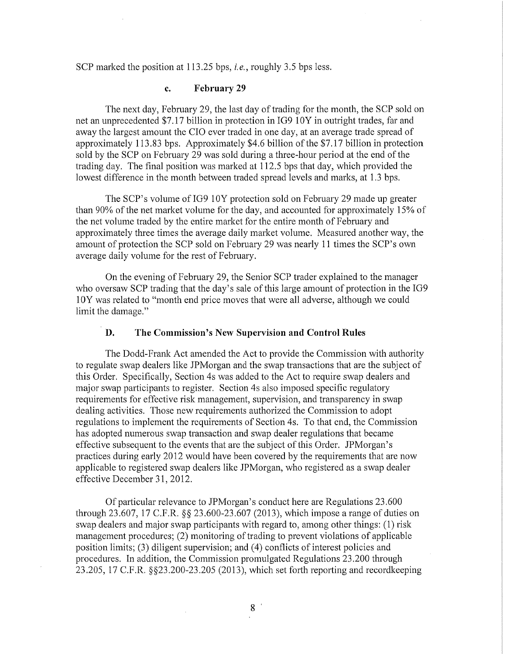SCP marked the position at 113.25 bps, *i.e.,* roughly 3.5 bps less.

## **c. February 29**

The next day, February 29, the last day of trading for the month, the SCP sold on net an unprecedented \$7.17 billion in protection in IG9 10Y in outright trades, far and away the largest amount the CIO ever traded in one day, at an average trade spread of approximately 113.83 bps. Approximately \$4.6 billion of the \$7.17 billion in protection sold by the SCP on February 29 was sold during a three-hour period at the end of the trading day. The final position was marked at 112.5 bps that day, which provided the lowest difference in the month between traded spread levels and marks, at 1.3 bps.

The SCP's volume of IG9 10Y protection sold on February 29 made up greater than 90% of the net market volume for the day, and accounted for approximately 15% of the net volume traded by the entire market for the entire month of February and approximately three times the average daily market volume. Measured another way, the amount of protection the SCP sold on February 29 was nearly 11 times the SCP's own average daily volume for the rest of February.

On the evening of February 29, the Senior SCP trader explained to the manager who oversaw SCP trading that the day's sale of this large amount of protection in the IG9 1 OY was related to "month end price moves that were all adverse, although we could limit the damage."

## **D. The Commission's New Supervision and Control Rules**

The Dodd-Frank Act amended the Act to provide the Commission with authority to regulate swap dealers like JPMorgan and the swap transactions that are the subject of this Order. Specifically, Section 4s was added to the Act to require swap dealers and major swap participants to register. Section 4s also imposed specific regulatory requirements for effective risk management, supervision, and transparency in swap dealing activities. Those new requirements authorized the Commission to adopt regulations to implement the requirements of Section 4s. To that end, the Commission has adopted numerous swap transaction and swap dealer regulations that became effective subsequent to the events that are the subject of this Order. JPMorgan's practices during early 2012 would have been covered by the requirements that are now applicable to registered swap dealers like JPMorgan, who registered as a swap dealer effective December 31,2012.

Of particular relevance to JPMorgan's conduct here are Regulations 23.600 through 23.607, 17 C.F.R. §§ 23.600-23.607 (2013), which impose a range of duties on swap dealers and major swap participants with regard to, among other things: (1) risk management procedures; (2) monitoring of trading to prevent violations of applicable position limits; (3) diligent supervision; and ( 4) conflicts of interest policies and procedures. In addition, the Commission promulgated Regulations 23.200 through  $23.205$ , 17 C.F.R.  $\S$  $\S$  $23.200 - 23.205$  (2013), which set forth reporting and recordkeeping

8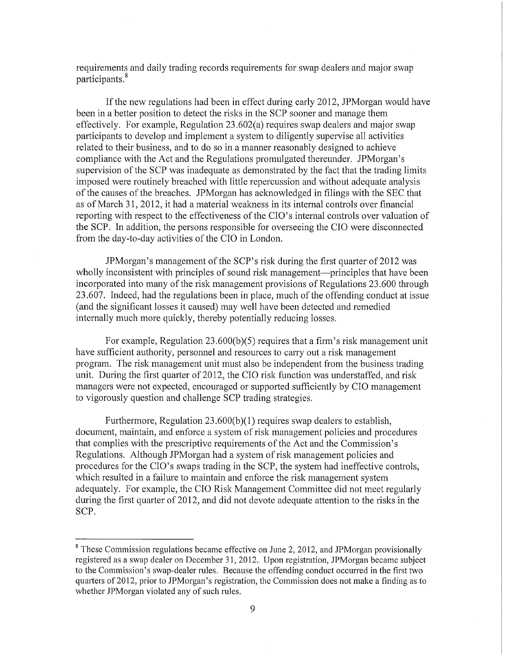requirements and daily trading records requirements for swap dealers and major swap participants. 8

If the new regulations had been in effect during early 2012, JPMorgan would have been in a better position to detect the risks in the SCP sooner and manage them effectively. For example, Regulation 23.602(a) requires swap dealers and major swap participants to develop and implement a system to diligently supervise all activities related to their business, and to do so in a manner reasonably designed to achieve compliance with the Act and the Regulations promulgated thereunder. JPMorgan's supervision of the SCP was inadequate as demonstrated by the fact that the trading limits imposed were routinely breached with little repercussion and without adequate analysis of the causes of the breaches. JPMorgan has acknowledged in filings with the SEC that as of March 31, 2012, it had a material weakness in its internal controls over financial reporting with respect to the effectiveness of the CIO's internal controls over valuation of the SCP. In addition, the persons responsible for overseeing the CIO were disconnected from the day-to-day activities of the CIO in London.

JPMorgan's management of the SCP's risk during the first quarter of 2012 was wholly inconsistent with principles of sound risk management—principles that have been incorporated into many of the risk management provisions of Regulations 23.600 through 23.607. Indeed, had the regulations been in place, much of the offending conduct at issue (and the significant losses it caused) may well have been detected and remedied internally much more quickly, thereby potentially reducing losses.

For example, Regulation 23.600(b)(5) requires that a firm's risk management unit have sufficient authority, personnel and resources to carry out a risk management program. The risk management unit must also be independent from the business trading unit. During the first quarter of 2012, the CIO risk function was understaffed, and risk managers were not expected, encouraged or supported sufficiently by CIO management to vigorously question and challenge SCP trading strategies.

Furthermore, Regulation 23.600(b)(1) requires swap dealers to establish, document, maintain, and enforce a system of risk management policies and procedures that complies with the prescriptive requirements of the Act and the Commission's Regulations. Although JPMorgan had a system of risk management policies and procedures for the CIO's swaps trading in the SCP, the system had ineffective controls, which resulted in a failure to maintain and enforce the risk management system adequately. For example, the CIO Risk Management Committee did not meet regularly during the first quarter of 2012, and did not devote adequate attention to the risks in the SCP.

 $8$  These Commission regulations became effective on June 2, 2012, and JPMorgan provisionally registered as a swap dealer on December 31, 2012. Upon registration, JPMorgan became subject to the Commission's swap-dealer rules. Because the offending conduct occurred in the first two quarters of 2012, prior to JPMorgan's registration, the Commission does not make a finding as to whether JPMorgan violated any of such rules.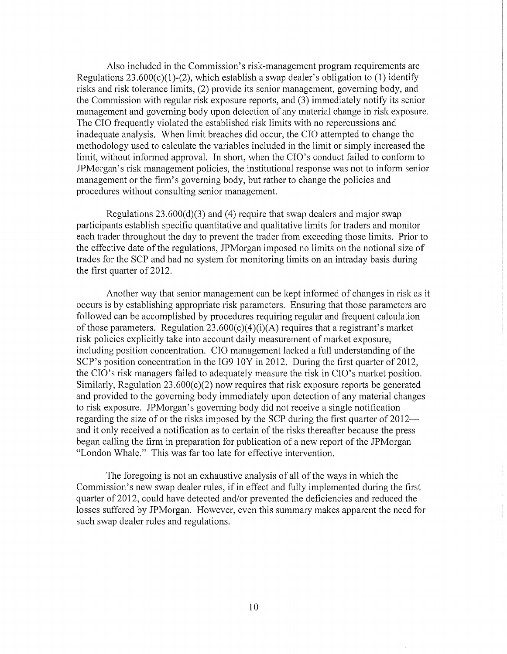Also included in the Commission's risk-management program requirements are Regulations  $23.600(c)(1)-(2)$ , which establish a swap dealer's obligation to (1) identify risks and risk tolerance limits, (2) provide its senior management, governing body, and the Commission with regular risk exposure reports, and (3) immediately notify its senior management and governing body upon detection of any material change in risk exposure. The CIO frequently violated the established risk limits with no repercussions and inadequate analysis. When limit breaches did occur, the CIO attempted to change the methodology used to calculate the variables included in the limit or simply increased the limit, without informed approval. In short, when the CIO's conduct failed to conform to JPMorgan's risk management policies, the institutional response was not to inform senior management or the firm's governing body, but rather to change the policies and procedures without consulting senior management.

Regulations 23.600(d)(3) and (4) require that swap dealers and major swap participants establish specific quantitative and qualitative limits for traders and monitor each trader throughout the day to prevent the trader from exceeding those limits. Prior to the effective date of the regulations, JPMorgan imposed no limits on the notional size of trades for the SCP and had no system for monitoring limits on an intraday basis during the first quarter of 2012.

Another way that senior management can be kept informed of changes in risk as it occurs is by establishing appropriate risk parameters. Ensuring that those parameters are followed can be accomplished by procedures requiring regular and frequent calculation of those parameters. Regulation  $23.600(c)(4)(i)(A)$  requires that a registrant's market risk policies explicitly take into account daily measurement of market exposure, including position concentration. CIO management lacked a full understanding of the SCP's position concentration in the IG9 10Y in 2012. During the first quarter of 2012, the CIO's risk managers failed to adequately measure the risk in CIO's market position. Similarly, Regulation  $23.600(c)(2)$  now requires that risk exposure reports be generated and provided to the governing body immediately upon detection of any material changes to risk exposure. JPMorgan's governing body did not receive a single notification regarding the size of or the risks imposed by the SCP during the first quarter of 2012and it only received a notification as to certain of the risks thereafter because the press began calling the firm in preparation for publication of a new report of the JPMorgan "London Whale." This was far too late for effective intervention.

The foregoing is not an exhaustive analysis of all of the ways in which the Commission's new swap dealer rules, if in effect and fully implemented during the first quarter of 2012, could have detected and/or prevented the deficiencies and reduced the losses suffered by JPMorgan. However, even this summary makes apparent the need for such swap dealer rules and regulations.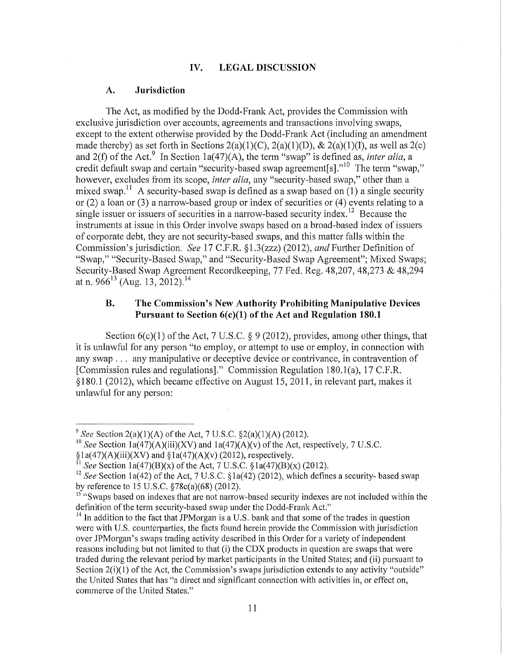#### IV. LEGAL DISCUSSION

#### A. Jurisdiction

The Act, as modified by the Dodd-Frank Act, provides the Commission with exclusive jurisdiction over accounts, agreements and transactions involving swaps, except to the extent otherwise provided by the Dodd-Frank Act (including an amendment made thereby) as set forth in Sections  $2(a)(1)(C)$ ,  $2(a)(1)(D)$ ,  $\& 2(a)(1)(I)$ , as well as  $2(c)$ and 2(f) of the Act.<sup>9</sup> In Section 1a(47)(A), the term "swap" is defined as, *inter alia*, a credit default swap and certain "security-based swap agreement[s]."<sup>10</sup> The term "swap," however, excludes from its scope, *inter alia,* any "security-based swap," other than a mixed swap.<sup>11</sup> A security-based swap is defined as a swap based on  $(1)$  a single security or (2) a loan or (3) a narrow-based group or index of securities or (4) events relating to a single issuer or issuers of securities in a narrow-based security index.<sup>12</sup> Because the instruments at issue in this Order involve swaps based on a broad-based index of issuers of corporate debt, they are not security-based swaps, and this matter falls within the Commission's jurisdiction. *See* 17 C.F.R. § 1.3(zzz) (2012), *and* Further Definition of "Swap," "Security-Based Swap," and "Security-Based Swap Agreement"; Mixed Swaps; Security-Based Swap Agreement Recordkeeping, 77 Fed. Reg. 48,207, 48,273 & 48,294 at n. 966<sup>13</sup> (Aug. 13, 2012).<sup>14</sup>

## B. The Commission's New Authority Prohibiting Manipulative Devices Pursuant to Section 6(c)(1) of the Act and Regulation 180.1

Section  $6(c)(1)$  of the Act, 7 U.S.C. § 9 (2012), provides, among other things, that it is unlawful for any person "to employ, or attempt to use or employ, in connection with any swap . . . any manipulative or deceptive device or contrivance, in contravention of [Commission rules and regulations]." Commission Regulation 180.1(a), 17 C.F.R. § 180.1 (2012), which became effective on August 15, 2011, in relevant part, makes it unlawful for any person:

<sup>&</sup>lt;sup>9</sup> See Section 2(a)(1)(A) of the Act, 7 U.S.C.  $\S2(a)(1)(A)$  (2012).

<sup>&</sup>lt;sup>10</sup> See Section  $1a(47)(A)(iii)(XV)$  and  $1a(47)(A)(v)$  of the Act, respectively, 7 U.S.C.

 $§1a(47)(A)(iii)(XV)$  and  $§1a(47)(A)(v)$  (2012), respectively.

*See* Section 1a(47)(B)(x) of the Act, 7 U.S.C. §1a(47)(B)(x) (2012).

<sup>&</sup>lt;sup>12</sup> See Section 1a(42) of the Act, 7 U.S.C. §1a(42) (2012), which defines a security- based swap<br>by reference to 15 U.S.C. §78c(a)(68) (2012).

<sup>&</sup>lt;sup>13</sup> "Swaps based on indexes that are not narrow-based security indexes are not included within the definition of the term security-based swap under the Dodd-Frank Act."

 $14$  In addition to the fact that JPMorgan is a U.S. bank and that some of the trades in question were with U.S. counterparties, the facts found herein provide the Commission with jurisdiction over JPMorgan' s swaps trading activity described in this Order for a variety of independent reasons including but not limited to that (i) the CDX products in question are swaps that were traded during the relevant period by market participants in the United States; and (ii) pursuant to Section  $2(i)(1)$  of the Act, the Commission's swaps jurisdiction extends to any activity "outside" the United States that has "a direct and significant connection with activities in, or effect on, commerce of the United States."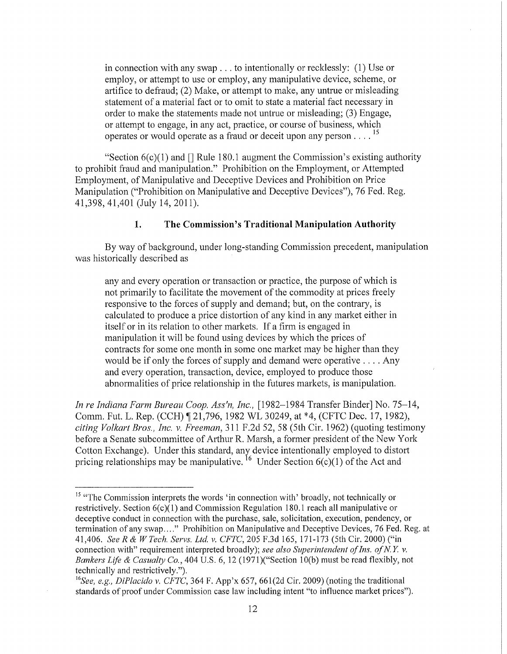in connection with any swap ... to intentionally or recklessly: (1) Use or employ, or attempt to use or employ, any manipulative device, scheme, or artifice to defraud; (2) Make, or attempt to make, any untrue or misleading statement of a material fact or to omit to state a material fact necessary in order to make the statements made not untrue or misleading; (3) Engage, or attempt to engage, in any act, practice, or course of business, which operates or would operate as a fraud or deceit upon any person  $\dots$ <sup>15</sup>

"Section  $6(c)(1)$  and  $\Box$  Rule 180.1 augment the Commission's existing authority to prohibit fraud and manipulation." Prohibition on the Employment, or Attempted Employment, of Manipulative and Deceptive Devices and Prohibition on Price Manipulation ("Prohibition on Manipulative and Deceptive Devices"), 76 Fed. Reg. 41,398, 41,401 (July 14, 2011).

## **1. The Commission's Traditional Manipulation Authority**

By way of background, under long-standing Commission precedent, manipulation was historically described as

any and every operation or transaction or practice, the purpose of which is not primarily to facilitate the movement of the commodity at prices freely responsive to the forces of supply and demand; but, on the contrary, is calculated to produce a price distortion of any kind in any market either in itself or in its relation to other markets. If a firm is engaged in manipulation it will be found using devices by which the prices of contracts for some one month in some one market may be higher than they would be if only the forces of supply and demand were operative .... Any and every operation, transaction, device, employed to produce those abnormalities of price relationship in the futures markets, is manipulation.

*In re Indiana Farm Bureau Coop. Ass'n, Inc.,* [1982-1984 Transfer Binder] No. 75-14, Comm. Fut. L. Rep. (CCH) ~ 21,796, 1982 WL 30249, at \*4, (CFTC Dec. 17, 1982), *citing Volkart Bros., Inc.* v. *Freeman,* 311 F.2d 52, 58 (5th Cir. 1962) (quoting testimony before a Senate subcommittee of Arthur R. Marsh, a former president of the New York Cotton Exchange). Under this standard, any device intentionally employed to distort pricing relationships may be manipulative.  $^{16}$  Under Section 6(c)(1) of the Act and

<sup>&</sup>lt;sup>15</sup> "The Commission interprets the words 'in connection with' broadly, not technically or restrictively. Section 6(c)(l) and Commission Regulation 180.1 reach all manipulative or deceptive conduct in connection with the purchase, sale, solicitation, execution, pendency, or termination of any swap...." Prohibition on Manipulative and Deceptive Devices, 76 Fed. Reg. at 41,406. *SeeR* & *W Tech. Servs. Ltd v. CFTC,* 205 F.3d 165, 171-173 (5th Cir. 2000) ("in connection with" requirement interpreted broadly); *see also Superintendent of Ins. of N.Y. v. Bankers Life* & *Casualty Co.,* 404 U.S. 6, 12 (197l)("Section lO(b) must be read flexibly, not technically and restrictively.").<br><sup>16</sup>See, *e.g., DiPlacido v. CFTC*, 364 F. App'x 657, 661(2d Cir. 2009) (noting the traditional

standards of proof under Commission case law including intent "to influence market prices").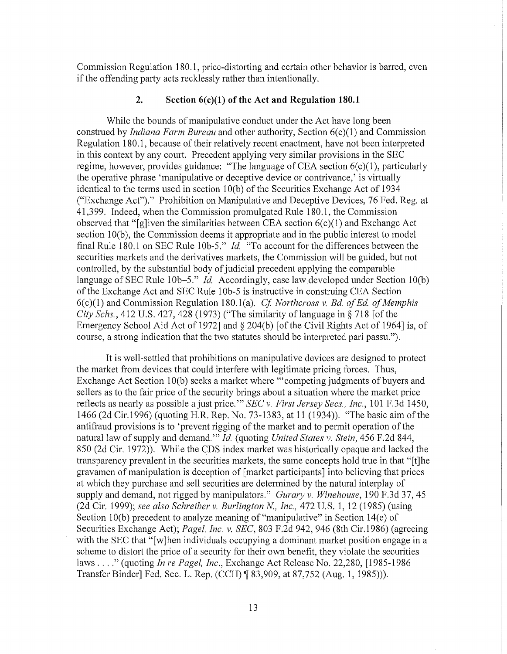Commission Regulation 180.1, price-distorting and certain other behavior is barred, even if the offending party acts recklessly rather than intentionally.

#### 2. **Section 6(c)(1) of the Act and Regulation 180.1**

While the bounds of manipulative conduct under the Act have long been construed by *Indiana Farm Bureau* and other authority, Section 6(c)(1) and Commission Regulation 180.1, because of their relatively recent enactment, have not been interpreted in this context by any court. Precedent applying very similar provisions in the SEC regime, however, provides guidance: "The language of CEA section  $6(c)(1)$ , particularly the operative phrase 'manipulative or deceptive device or contrivance,' is virtually identical to the terms used in section 10(b) of the Securities Exchange Act of 1934 ("Exchange Act")." Prohibition on Manipulative and Deceptive Devices, 76 Fed. Reg. at 41,399. Indeed, when the Commission promulgated Rule 180.1, the Commission observed that "[g]iven the similarities between CEA section 6(c)(1) and Exchange Act section 10(b), the Commission deems it appropriate and in the public interest to model final Rule 180.1 on SEC Rule 10b-5." *Id.* "To account for the differences between the securities markets and the derivatives markets, the Commission will be guided, but not controlled, by the substantial body of judicial precedent applying the comparable language of SEC Rule 10b-5." *Id.* Accordingly, case law developed under Section 10(b) of the Exchange Act and SEC Rule 10b-5 is instructive in construing CEA Section 6( c )(1) and Commission Regulation 180.1 (a). *Cf Northcross v. Bd. of Ed. of Memphis City Schs.*, 412 U.S. 427, 428 (1973) ("The similarity of language in § 718 [of the Emergency School Aid Act of 1972] and § 204(b) [of the Civil Rights Act of 1964] is, of course, a strong indication that the two statutes should be interpreted pari passu.").

It is well-settled that prohibitions on manipulative devices are designed to protect the market from devices that could interfere with legitimate pricing forces. Thus, Exchange Act Section 10(b) seeks a market where "'competing judgments of buyers and sellers as to the fair price of the security brings about a situation where the market price reflects as nearly as possible a just price." *SEC v. First Jersey Secs., Inc.*, 101 F.3d 1450, 1466 (2d Cir.1996) (quoting H.R. Rep. No. 73-1383, at 11 (1934)). "The basic aim ofthe antifraud provisions is to 'prevent rigging of the market and to permit operation of the natural law of supply and demand."' *Id.* (quoting *United States v. Stein,* 456 F.2d 844, 850 (2d Cir. 1972)). While the CDS index market was historically opaque and lacked the transparency prevalent in the securities markets, the same concepts hold true in that "[t]he gravamen of manipulation is deception of [market participants] into believing that prices at which they purchase and sell securities are determined by the natural interplay of supply and demand, not rigged by manipulators." *Gurary v. Winehouse,* 190 F.3d 37, 45 (2d Cir. 1999); *see also Schreiber v. Burlington N, Inc.,* 472 U.S. 1, 12 (1985) (using Section 10(b) precedent to analyze meaning of "manipulative" in Section 14(e) of Securities Exchange Act); *Pagel, Inc. v. SEC,* 803 F.2d 942, 946 (8th Cir.1986) (agreeing with the SEC that "[w]hen individuals occupying a dominant market position engage in a scheme to distort the price of a security for their own benefit, they violate the securities laws .... " (quoting *In re Pagel, Inc.,* Exchange Act Release No. 22,280, [1985-1986 Transfer Binder] Fed. Sec. L. Rep. (CCH) ~ 83,909, at 87,752 (Aug. 1, 1985))).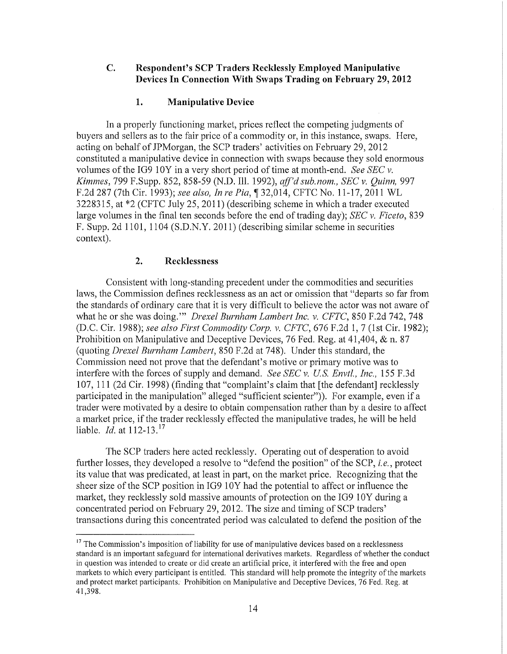## **C. Respondent's SCP Traders Recklessly Employed Manipulative Devices In Connection With Swaps Trading on February** 29, **2012**

## **1. Manipulative Device**

In a properly functioning market, prices reflect the competing judgments of buyers and sellers as to the fair price of a commodity or, in this instance, swaps. Here, acting on behalf of JPMorgan, the SCP traders' activities on February 29, 2012 constituted a manipulative device in connection with swaps because they sold enormous volumes of the IG9 10Y in a very short period of time at month-end. *See SEC v. Kimmes,* 799 F.Supp. 852, 858-59 (N.D. Ill. 1992), *aff'd sub. nom., SEC v. Quinn,* 997 F.2d 287 (7th Cir. 1993); *see also, In re* Pia,~ 32,014, CFTC No. 11-17,2011 WL 3228315, at \*2 (CFTC July 25, 2011) (describing scheme in which a trader executed large volumes in the final ten seconds before the end of trading day); *SEC v. Ficeto,* 839 F. Supp. 2d 1101, 1104 (S.D.N.Y. 2011) (describing similar scheme in securities context).

## **2. Recklessness**

Consistent with long-standing precedent under the commodities and securities laws, the Commission defines recklessness as an act or omission that "departs so far from the standards of ordinary care that it is very difficult to believe the actor was not aware of what he or she was doing."' *Drexel Burnham Lambert Inc. v. CFTC,* 850 F.2d 742, 748 (D.C. Cir. 1988); *see also First Commodity Corp. v. CFTC,* 676 F.2d 1, 7 (1st Cir. 1982); Prohibition on Manipulative and Deceptive Devices, 76 Fed. Reg. at 41,404, & n. 87 (quoting *Drexel Burnham Lambert,* 850 F.2d at 748). Under this standard, the Commission need not prove that the defendant's motive or primary motive was to interfere with the forces of supply and demand. *See SEC v. US. Envtl., Inc.,* 155 F.3d 107, 111 (2d Cir. 1998) (finding that "complaint's claim that [the defendant] recklessly participated in the manipulation" alleged "sufficient scienter")). For example, even if a trader were motivated by a desire to obtain compensation rather than by a desire to affect a market price, if the trader recklessly effected the manipulative trades, he will be held liable. *Id.* at 112-13.<sup>17</sup>

The SCP traders here acted recklessly. Operating out of desperation to avoid further losses, they developed a resolve to "defend the position" of the SCP, *i.e.*, protect its value that was predicated, at least in part, on the market price. Recognizing that the sheer size of the SCP position in IG9 lOY had the potential to affect or influence the market, they recklessly sold massive amounts of protection on the IG9 10Y during a concentrated period on February 29, 2012. The size and timing of SCP traders' transactions during this concentrated period was calculated to defend the position of the

<sup>&</sup>lt;sup>17</sup> The Commission's imposition of liability for use of manipulative devices based on a recklessness standard is an important safeguard for intemational derivatives markets. Regardless of whether the conduct in question was intended to create or did create an artificial price, it interfered with the free and open markets to which every participant is entitled. This standard will help promote the integrity of the markets and protect market participants. Prohibition on Manipulative and Deceptive Devices, 76 Fed. Reg. at 41,398.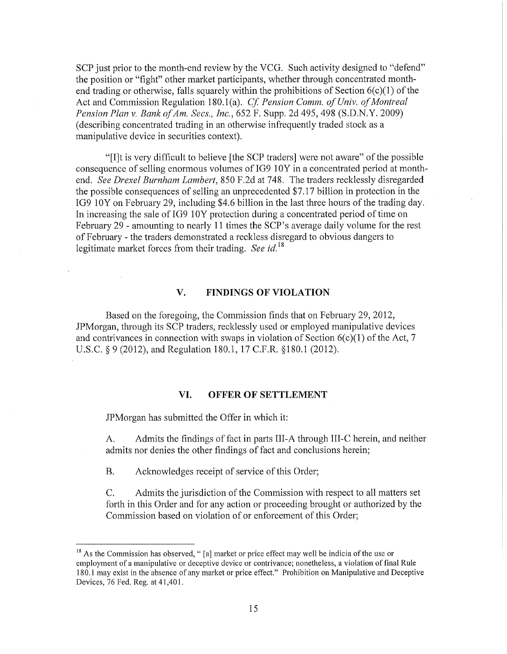SCP just prior to the month-end review by the VCG. Such activity designed to "defend" the position or "fight" other market participants, whether through concentrated monthend trading or otherwise, falls squarely within the prohibitions of Section  $6(c)(1)$  of the Act and Commission Regulation 180.1(a). *Cf. Pension Comm. of Univ. of Montreal Pension Plan v. Bank of Am. Sees., Inc.,* 652 F. Supp. 2d 495, 498 (S.D.N.Y. 2009) (describing concentrated trading in an otherwise infrequently traded stock as a manipulative device in securities context).

"[I]t is very difficult to believe [the SCP traders] were not aware" of the possible consequence of selling enormous volumes of IG9 10Y in a concentrated period at monthend. *See Drexel Burnham Lambert,* 850 F.2d at 748. The traders recklessly disregarded the possible consequences of selling an unprecedented \$7.17 billion in protection in the IG9 10Y on February 29, including \$4.6 billion in the last three hours of the trading day. In increasing the sale of IG9 10Y protection during a concentrated period of time on February 29- amounting to nearly 11 times the SCP's average daily volume for the rest of February- the traders demonstrated a reckless disregard to obvious dangers to legitimate market forces from their trading. *See* id. <sup>18</sup>

## **V. FINDINGS OF VIOLATION**

Based on the foregoing, the Commission finds that on February 29, 2012, JPMorgan, through its SCP traders, recklessly used or employed manipulative devices and contrivances in connection with swaps in violation of Section  $6(c)(1)$  of the Act, 7 U.S.C. § 9 (2012), and Regulation 180.1, 17 C.P.R. §180.1 (2012).

#### **VI. OFFER OF SETTLEMENT**

JPMorgan has submitted the Offer in which it:

A. Admits the findings of fact in parts III-A through III-C herein, and neither admits nor denies the other findings of fact and conclusions herein;

B. Acknowledges receipt of service of this Order;

C. Admits the jurisdiction of the Commission with respect to all matters set forth in this Order and for any action or proceeding brought or authorized by the Commission based on violation of or enforcement of this Order;

 $18$  As the Commission has observed, " [a] market or price effect may well be indicia of the use or employment of a manipulative or deceptive device or contrivance; nonetheless, a violation of final Rule 180.1 may exist in the absence of any market or price effect." Prohibition on Manipulative and Deceptive Devices, 76 Fed. Reg. at 41,401.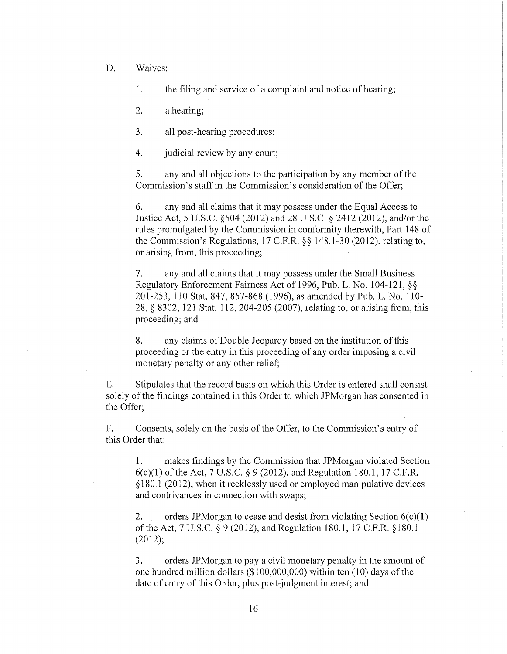D. Waives:

1. the filing and service of a complaint and notice of hearing;

2. a hearing;

3. all post-hearing procedures;

4. judicial review by any court;

5. any and all objections to the participation by any member of the Commission's staff in the Commission's consideration of the Offer;

6. any and all claims that it may possess under the Equal Access to Justice Act, 5 U.S.C. §504 (2012) and 28 U.S.C. § 2412 (2012), and/or the rules promulgated by the Commission in conformity therewith, Part 148 of the Commission's Regulations, 17 C.P.R. §§ 148.1-30 (2012), relating to, or arising from, this proceeding;

7. any and all claims that it may possess under the Small Business Regulatory Enforcement Fairness Act of 1996, Pub. L. No. 104-121, §§ 201-253, 110 Stat. 847, 857-868 (1996), as amended by Pub. L. No. 110- 28, § 8302, 121 Stat. 112, 204-205 (2007), relating to, or arising from, this proceeding; and

8. any claims of Double Jeopardy based on the institution of this proceeding or the entry in this proceeding of any order imposing a civil monetary penalty or any other relief;

E. Stipulates that the record basis on which this Order is entered shall consist solely of the findings contained in this Order to which JPMorgan has consented in the Offer;

F. Consents, solely on the basis of the Offer, to the Commission's entry of this Order that:

1. makes findings by the Commission that JPMorgan violated Section 6(c)(l) of the Act, 7 U.S.C. § 9 (2012), and Regulation 180.1, 17 C.P.R. § 180.1 (2012), when it recklessly used or employed manipulative devices and contrivances in connection with swaps;

2. orders JPM organ to cease and desist from violating Section  $6(c)(1)$ oftheAct, 7U.S.C. § 9 (2012), and Regulation 180.1,17 C.P.R. §180.1 (2012);

3. orders JPMorgan to pay a civil monetary penalty in the amount of one hundred million dollars  $(\$100,000,000)$  within ten  $(10)$  days of the date of entry of this Order, plus post-judgment interest; and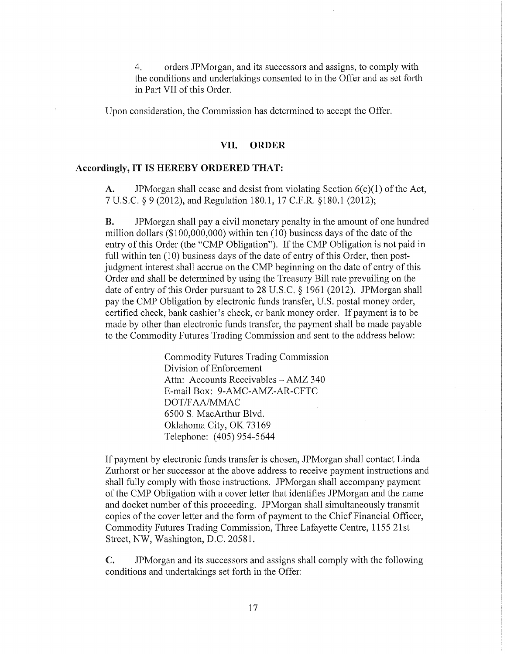4. orders JPMorgan, and its successors and assigns, to comply with the conditions and undertakings consented to in the Offer and as set forth in Part VII of this Order.

Upon consideration, the Commission has determined to accept the Offer.

#### **VII. ORDER**

#### **Accordingly, IT IS HEREBY ORDERED THAT:**

A. JPMorgan shall cease and desist from violating Section  $6(c)(1)$  of the Act, 7 U.S.C. § 9 (2012), and Regulation 180.1, 17 C.P.R. §180.1 (2012);

**B.** JPMorgan shall pay a civil monetary penalty in the amount of one hundred million dollars ( $$100,000,000$ ) within ten (10) business days of the date of the entry of this Order (the "CMP Obligation"). If the CMP Obligation is not paid in full within ten (10) business days of the date of entry of this Order, then postjudgment interest shall accrue on the CMP beginning on the date of entry of this Order and shall be determined by using the Treasury Bill rate prevailing on the date of entry of this Order pursuant to  $28$  U.S.C. § 1961 (2012). JPMorgan shall pay the CMP Obligation by electronic funds transfer, U.S. postal money order, certified check, bank cashier's check, or bank money order. If payment is to be made by other than electronic funds transfer, the payment shall be made payable to the Commodity Futures Trading Commission and sent to the address below:

> Commodity Futures Trading Commission Division of Enforcement Attn: Accounts Receivables- AMZ 340 E-mail Box: 9-AMC-AMZ-AR-CFTC DOT *IF* AA/MMAC 6500 S. MacArthur Blvd. Oklahoma City, OK 73169 Telephone: (405) 954-5644

If payment by electronic funds transfer is chosen, JPMorgan shall contact Linda Zurhorst or her successor at the above address to receive payment instructions and shall fully comply with those instructions. JPMorgan shall accompany payment of the CMP Obligation with a cover letter that identifies JPMorgan and the name and docket number of this proceeding. JPMorgan shall simultaneously transmit copies of the cover letter and the form of payment to the Chief Financial Officer, Commodity Futures Trading Commission, Three Lafayette Centre, 1155 21st Street, NW, Washington, D.C. 20581.

C. JPMorgan and its successors and assigns shall comply with the following conditions and undertakings set forth in the Offer: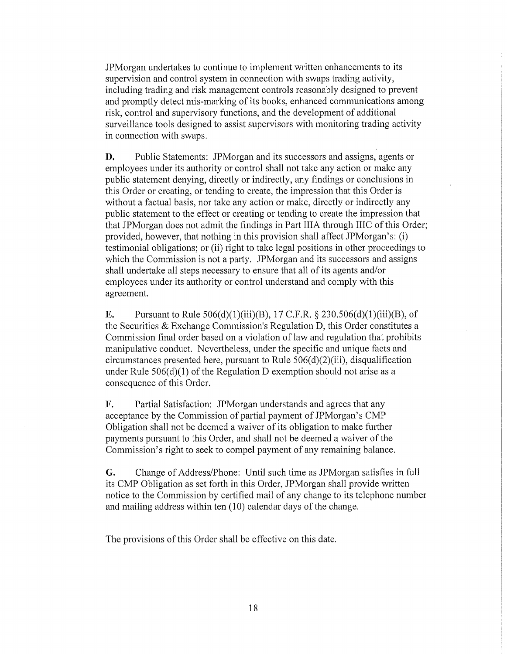JPMorgan undertakes to continue to implement written enhancements to its supervision and control system in connection with swaps trading activity, including trading and risk management controls reasonably designed to prevent and promptly detect mis-marking of its books, enhanced communications among risk, control and supervisory functions, and the development of additional surveillance tools designed to assist supervisors with monitoring trading activity in connection with swaps.

D. Public Statements: JPMorgan and its successors and assigns, agents or employees under its authority or control shall not take any action or make any public statement denying, directly or indirectly, any findings or conclusions in this Order or creating, or tending to create, the impression that this Order is without a factual basis, nor take any action or make, directly or indirectly any public statement to the effect or creating or tending to create the impression that that JPMorgan does not admit the findings in Part IIIA through IIIC of this Order; provided, however, that nothing in this provision shall affect JPMorgan's: (i) testimonial obligations; or (ii) right to take legal positions in other proceedings to which the Commission is not a party. JPMorgan and its successors and assigns shall undertake all steps necessary to ensure that all of its agents and/or employees under its authority or control understand and comply with this agreement.

**E.** Pursuant to Rule 506(d)(1)(iii)(B), 17 C.F.R. § 230.506(d)(1)(iii)(B), of the Securities & Exchange Commission's Regulation D, this Order constitutes a Commission final order based on a violation of law and regulation that prohibits manipulative conduct. Nevertheless, under the specific and unique facts and circumstances presented here, pursuant to Rule  $506(d)(2)(iii)$ , disqualification under Rule  $506(d)(1)$  of the Regulation D exemption should not arise as a consequence of this Order.

F. Partial Satisfaction: JPMorgan understands and agrees that any acceptance by the Commission of partial payment of JPMorgan's CMP Obligation shall not be deemed a waiver of its obligation to make further payments pursuant to this Order, and shall not be deemed a waiver of the Commission's right to seek to compel payment of any remaining balance.

G. Change of Address/Phone: Until such time as JPMorgan satisfies in full its CMP Obligation as set forth in this Order, JPMorgan shall provide written notice to the Commission by certified mail of any change to its telephone number and mailing address within ten  $(10)$  calendar days of the change.

The provisions of this Order shall be effective on this date.